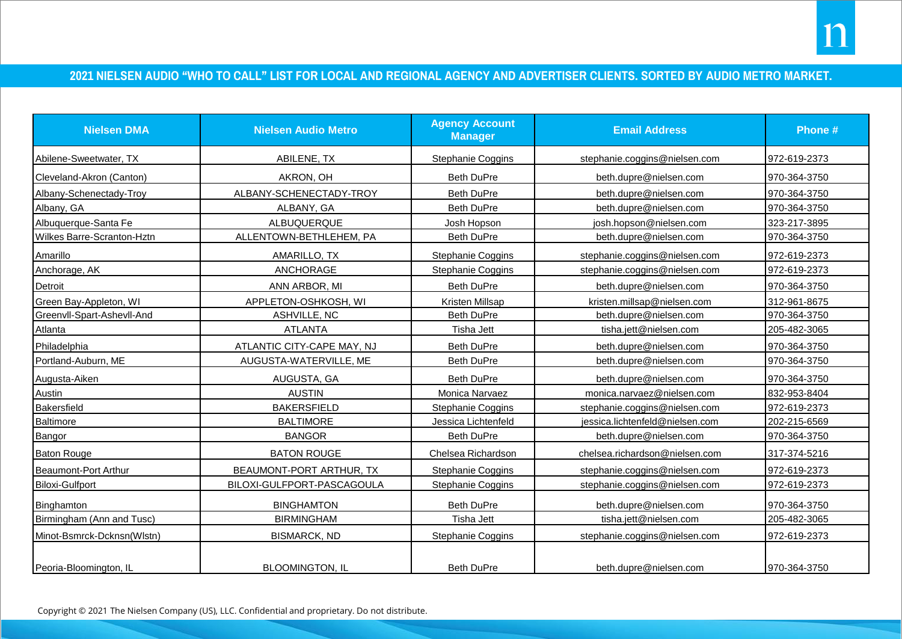## **2021 NIELSEN AUDIO "WHO TO CALL" LIST FOR LOCAL AND REGIONAL AGENCY AND ADVERTISER CLIENTS. SORTED BY AUDIO METRO MARKET.**

| <b>Nielsen DMA</b>         | <b>Nielsen Audio Metro</b> | <b>Agency Account</b><br><b>Manager</b> | <b>Email Address</b>            | Phone #      |
|----------------------------|----------------------------|-----------------------------------------|---------------------------------|--------------|
| Abilene-Sweetwater, TX     | ABILENE, TX                | Stephanie Coggins                       | stephanie.coggins@nielsen.com   | 972-619-2373 |
| Cleveland-Akron (Canton)   | AKRON, OH                  | <b>Beth DuPre</b>                       | beth.dupre@nielsen.com          | 970-364-3750 |
| Albany-Schenectady-Troy    | ALBANY-SCHENECTADY-TROY    | <b>Beth DuPre</b>                       | beth.dupre@nielsen.com          | 970-364-3750 |
| Albany, GA                 | ALBANY, GA                 | <b>Beth DuPre</b>                       | beth.dupre@nielsen.com          | 970-364-3750 |
| Albuquerque-Santa Fe       | ALBUQUERQUE                | Josh Hopson                             | josh.hopson@nielsen.com         | 323-217-3895 |
| Wilkes Barre-Scranton-Hztn | ALLENTOWN-BETHLEHEM, PA    | <b>Beth DuPre</b>                       | beth.dupre@nielsen.com          | 970-364-3750 |
| Amarillo                   | AMARILLO, TX               | Stephanie Coggins                       | stephanie.coggins@nielsen.com   | 972-619-2373 |
| Anchorage, AK              | <b>ANCHORAGE</b>           | Stephanie Coggins                       | stephanie.coggins@nielsen.com   | 972-619-2373 |
| Detroit                    | ANN ARBOR, MI              | <b>Beth DuPre</b>                       | beth.dupre@nielsen.com          | 970-364-3750 |
| Green Bay-Appleton, WI     | APPLETON-OSHKOSH, WI       | Kristen Millsap                         | kristen.millsap@nielsen.com     | 312-961-8675 |
| Greenvll-Spart-Ashevll-And | <b>ASHVILLE, NC</b>        | <b>Beth DuPre</b>                       | beth.dupre@nielsen.com          | 970-364-3750 |
| Atlanta                    | <b>ATLANTA</b>             | Tisha Jett                              | tisha.jett@nielsen.com          | 205-482-3065 |
| Philadelphia               | ATLANTIC CITY-CAPE MAY, NJ | <b>Beth DuPre</b>                       | beth.dupre@nielsen.com          | 970-364-3750 |
| Portland-Auburn, ME        | AUGUSTA-WATERVILLE, ME     | <b>Beth DuPre</b>                       | beth.dupre@nielsen.com          | 970-364-3750 |
| Augusta-Aiken              | AUGUSTA, GA                | <b>Beth DuPre</b>                       | beth.dupre@nielsen.com          | 970-364-3750 |
| Austin                     | <b>AUSTIN</b>              | Monica Narvaez                          | monica.narvaez@nielsen.com      | 832-953-8404 |
| Bakersfield                | <b>BAKERSFIELD</b>         | Stephanie Coggins                       | stephanie.coggins@nielsen.com   | 972-619-2373 |
| Baltimore                  | <b>BALTIMORE</b>           | Jessica Lichtenfeld                     | jessica.lichtenfeld@nielsen.com | 202-215-6569 |
| Bangor                     | <b>BANGOR</b>              | <b>Beth DuPre</b>                       | beth.dupre@nielsen.com          | 970-364-3750 |
| <b>Baton Rouge</b>         | <b>BATON ROUGE</b>         | Chelsea Richardson                      | chelsea.richardson@nielsen.com  | 317-374-5216 |
| Beaumont-Port Arthur       | BEAUMONT-PORT ARTHUR, TX   | Stephanie Coggins                       | stephanie.coggins@nielsen.com   | 972-619-2373 |
| Biloxi-Gulfport            | BILOXI-GULFPORT-PASCAGOULA | Stephanie Coggins                       | stephanie.coggins@nielsen.com   | 972-619-2373 |
| Binghamton                 | <b>BINGHAMTON</b>          | <b>Beth DuPre</b>                       | beth.dupre@nielsen.com          | 970-364-3750 |
| Birmingham (Ann and Tusc)  | <b>BIRMINGHAM</b>          | <b>Tisha Jett</b>                       | tisha.jett@nielsen.com          | 205-482-3065 |
| Minot-Bsmrck-Dcknsn(Wlstn) | <b>BISMARCK, ND</b>        | Stephanie Coggins                       | stephanie.coggins@nielsen.com   | 972-619-2373 |
| Peoria-Bloomington, IL     | <b>BLOOMINGTON, IL</b>     | <b>Beth DuPre</b>                       | beth.dupre@nielsen.com          | 970-364-3750 |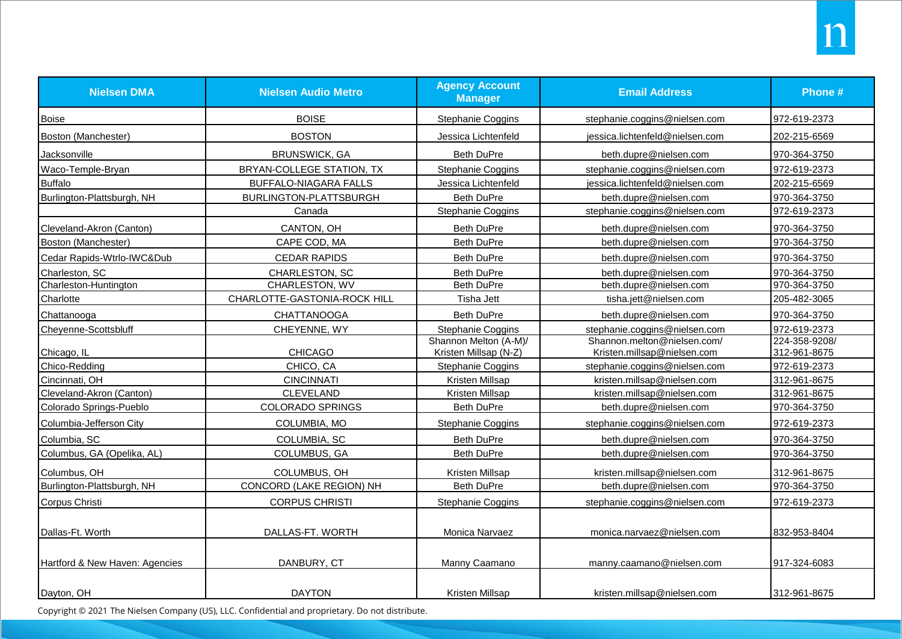| <b>Nielsen DMA</b>             | <b>Nielsen Audio Metro</b>   | <b>Agency Account</b><br><b>Manager</b> | <b>Email Address</b>            | Phone #       |
|--------------------------------|------------------------------|-----------------------------------------|---------------------------------|---------------|
| <b>Boise</b>                   | <b>BOISE</b>                 | <b>Stephanie Coggins</b>                | stephanie.coggins@nielsen.com   | 972-619-2373  |
| Boston (Manchester)            | <b>BOSTON</b>                | Jessica Lichtenfeld                     | jessica.lichtenfeld@nielsen.com | 202-215-6569  |
| Jacksonville                   | <b>BRUNSWICK, GA</b>         | <b>Beth DuPre</b>                       | beth.dupre@nielsen.com          | 970-364-3750  |
| Waco-Temple-Bryan              | BRYAN-COLLEGE STATION, TX    | Stephanie Coggins                       | stephanie.coggins@nielsen.com   | 972-619-2373  |
| <b>Buffalo</b>                 | BUFFALO-NIAGARA FALLS        | Jessica Lichtenfeld                     | iessica.lichtenfeld@nielsen.com | 202-215-6569  |
| Burlington-Plattsburgh, NH     | BURLINGTON-PLATTSBURGH       | <b>Beth DuPre</b>                       | beth.dupre@nielsen.com          | 970-364-3750  |
|                                | Canada                       | Stephanie Coggins                       | stephanie.coggins@nielsen.com   | 972-619-2373  |
| Cleveland-Akron (Canton)       | CANTON, OH                   | <b>Beth DuPre</b>                       | beth.dupre@nielsen.com          | 970-364-3750  |
| Boston (Manchester)            | CAPE COD, MA                 | <b>Beth DuPre</b>                       | beth.dupre@nielsen.com          | 970-364-3750  |
| Cedar Rapids-Wtrlo-IWC&Dub     | <b>CEDAR RAPIDS</b>          | Beth DuPre                              | beth.dupre@nielsen.com          | 970-364-3750  |
| Charleston, SC                 | CHARLESTON, SC               | <b>Beth DuPre</b>                       | beth.dupre@nielsen.com          | 970-364-3750  |
| Charleston-Huntington          | CHARLESTON, WV               | <b>Beth DuPre</b>                       | beth.dupre@nielsen.com          | 970-364-3750  |
| Charlotte                      | CHARLOTTE-GASTONIA-ROCK HILL | Tisha Jett                              | tisha.jett@nielsen.com          | 205-482-3065  |
| Chattanooga                    | <b>CHATTANOOGA</b>           | <b>Beth DuPre</b>                       | beth.dupre@nielsen.com          | 970-364-3750  |
| Cheyenne-Scottsbluff           | CHEYENNE, WY                 | <b>Stephanie Coggins</b>                | stephanie.coggins@nielsen.com   | 972-619-2373  |
|                                |                              | Shannon Melton (A-M)/                   | Shannon.melton@nielsen.com/     | 224-358-9208/ |
| Chicago, IL                    | <b>CHICAGO</b>               | Kristen Millsap (N-Z)                   | Kristen.millsap@nielsen.com     | 312-961-8675  |
| Chico-Redding                  | CHICO, CA                    | Stephanie Coggins                       | stephanie.coggins@nielsen.com   | 972-619-2373  |
| Cincinnati, OH                 | <b>CINCINNATI</b>            | Kristen Millsap                         | kristen.millsap@nielsen.com     | 312-961-8675  |
| Cleveland-Akron (Canton)       | <b>CLEVELAND</b>             | Kristen Millsap                         | kristen.millsap@nielsen.com     | 312-961-8675  |
| Colorado Springs-Pueblo        | <b>COLORADO SPRINGS</b>      | <b>Beth DuPre</b>                       | beth.dupre@nielsen.com          | 970-364-3750  |
| Columbia-Jefferson City        | COLUMBIA, MO                 | <b>Stephanie Coggins</b>                | stephanie.coggins@nielsen.com   | 972-619-2373  |
| Columbia, SC                   | COLUMBIA, SC                 | Beth DuPre                              | beth.dupre@nielsen.com          | 970-364-3750  |
| Columbus, GA (Opelika, AL)     | COLUMBUS, GA                 | Beth DuPre                              | beth.dupre@nielsen.com          | 970-364-3750  |
| Columbus, OH                   | COLUMBUS, OH                 | Kristen Millsap                         | kristen.millsap@nielsen.com     | 312-961-8675  |
| Burlington-Plattsburgh, NH     | CONCORD (LAKE REGION) NH     | <b>Beth DuPre</b>                       | beth.dupre@nielsen.com          | 970-364-3750  |
| Corpus Christi                 | <b>CORPUS CHRISTI</b>        | Stephanie Coggins                       | stephanie.coggins@nielsen.com   | 972-619-2373  |
| Dallas-Ft. Worth               | DALLAS-FT. WORTH             | Monica Narvaez                          | monica.narvaez@nielsen.com      | 832-953-8404  |
|                                |                              |                                         |                                 |               |
| Hartford & New Haven: Agencies | DANBURY, CT                  | Manny Caamano                           | manny.caamano@nielsen.com       | 917-324-6083  |
| Dayton, OH                     | <b>DAYTON</b>                | Kristen Millsap                         | kristen.millsap@nielsen.com     | 312-961-8675  |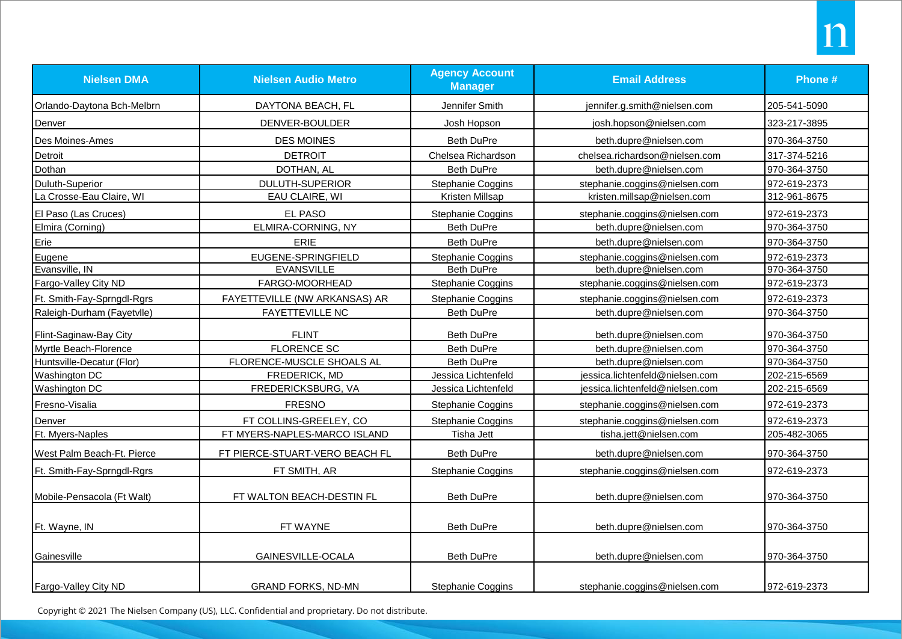| <b>Nielsen DMA</b>         | <b>Nielsen Audio Metro</b>     | <b>Agency Account</b><br><b>Manager</b> | <b>Email Address</b>            | Phone #      |
|----------------------------|--------------------------------|-----------------------------------------|---------------------------------|--------------|
| Orlando-Daytona Bch-Melbrn | DAYTONA BEACH, FL              | Jennifer Smith                          | jennifer.g.smith@nielsen.com    | 205-541-5090 |
| Denver                     | DENVER-BOULDER                 | Josh Hopson                             | josh.hopson@nielsen.com         | 323-217-3895 |
| Des Moines-Ames            | <b>DES MOINES</b>              | <b>Beth DuPre</b>                       | beth.dupre@nielsen.com          | 970-364-3750 |
| Detroit                    | <b>DETROIT</b>                 | Chelsea Richardson                      | chelsea.richardson@nielsen.com  | 317-374-5216 |
| Dothan                     | DOTHAN, AL                     | <b>Beth DuPre</b>                       | beth.dupre@nielsen.com          | 970-364-3750 |
| Duluth-Superior            | <b>DULUTH-SUPERIOR</b>         | Stephanie Coggins                       | stephanie.coggins@nielsen.com   | 972-619-2373 |
| La Crosse-Eau Claire, WI   | EAU CLAIRE, WI                 | Kristen Millsap                         | kristen.millsap@nielsen.com     | 312-961-8675 |
| El Paso (Las Cruces)       | EL PASO                        | Stephanie Coggins                       | stephanie.coggins@nielsen.com   | 972-619-2373 |
| Elmira (Corning)           | ELMIRA-CORNING, NY             | Beth DuPre                              | beth.dupre@nielsen.com          | 970-364-3750 |
| Erie                       | <b>ERIE</b>                    | <b>Beth DuPre</b>                       | beth.dupre@nielsen.com          | 970-364-3750 |
| Eugene                     | EUGENE-SPRINGFIELD             | Stephanie Coggins                       | stephanie.coggins@nielsen.com   | 972-619-2373 |
| Evansville, IN             | <b>EVANSVILLE</b>              | <b>Beth DuPre</b>                       | beth.dupre@nielsen.com          | 970-364-3750 |
| Fargo-Valley City ND       | FARGO-MOORHEAD                 | Stephanie Coggins                       | stephanie.coggins@nielsen.com   | 972-619-2373 |
| Ft. Smith-Fay-Sprngdl-Rgrs | FAYETTEVILLE (NW ARKANSAS) AR  | Stephanie Coggins                       | stephanie.coggins@nielsen.com   | 972-619-2373 |
| Raleigh-Durham (Fayetvlle) | <b>FAYETTEVILLE NC</b>         | Beth DuPre                              | beth.dupre@nielsen.com          | 970-364-3750 |
| Flint-Saginaw-Bay City     | <b>FLINT</b>                   | <b>Beth DuPre</b>                       | beth.dupre@nielsen.com          | 970-364-3750 |
| Myrtle Beach-Florence      | <b>FLORENCE SC</b>             | <b>Beth DuPre</b>                       | beth.dupre@nielsen.com          | 970-364-3750 |
| Huntsville-Decatur (Flor)  | FLORENCE-MUSCLE SHOALS AL      | <b>Beth DuPre</b>                       | beth.dupre@nielsen.com          | 970-364-3750 |
| Washington DC              | FREDERICK, MD                  | Jessica Lichtenfeld                     | jessica.lichtenfeld@nielsen.com | 202-215-6569 |
| Washington DC              | FREDERICKSBURG, VA             | Jessica Lichtenfeld                     | jessica.lichtenfeld@nielsen.com | 202-215-6569 |
| Fresno-Visalia             | <b>FRESNO</b>                  | Stephanie Coggins                       | stephanie.coggins@nielsen.com   | 972-619-2373 |
| Denver                     | FT COLLINS-GREELEY, CO         | Stephanie Coggins                       | stephanie.coggins@nielsen.com   | 972-619-2373 |
| Ft. Myers-Naples           | FT MYERS-NAPLES-MARCO ISLAND   | Tisha Jett                              | tisha.jett@nielsen.com          | 205-482-3065 |
| West Palm Beach-Ft. Pierce | FT PIERCE-STUART-VERO BEACH FL | <b>Beth DuPre</b>                       | beth.dupre@nielsen.com          | 970-364-3750 |
| Ft. Smith-Fay-Sprngdl-Rgrs | FT SMITH, AR                   | Stephanie Coggins                       | stephanie.coggins@nielsen.com   | 972-619-2373 |
| Mobile-Pensacola (Ft Walt) | FT WALTON BEACH-DESTIN FL      | <b>Beth DuPre</b>                       | beth.dupre@nielsen.com          | 970-364-3750 |
| Ft. Wayne, IN              | FT WAYNE                       | <b>Beth DuPre</b>                       | beth.dupre@nielsen.com          | 970-364-3750 |
| Gainesville                | GAINESVILLE-OCALA              | <b>Beth DuPre</b>                       | beth.dupre@nielsen.com          | 970-364-3750 |
| Fargo-Valley City ND       | <b>GRAND FORKS, ND-MN</b>      | Stephanie Coggins                       | stephanie.coggins@nielsen.com   | 972-619-2373 |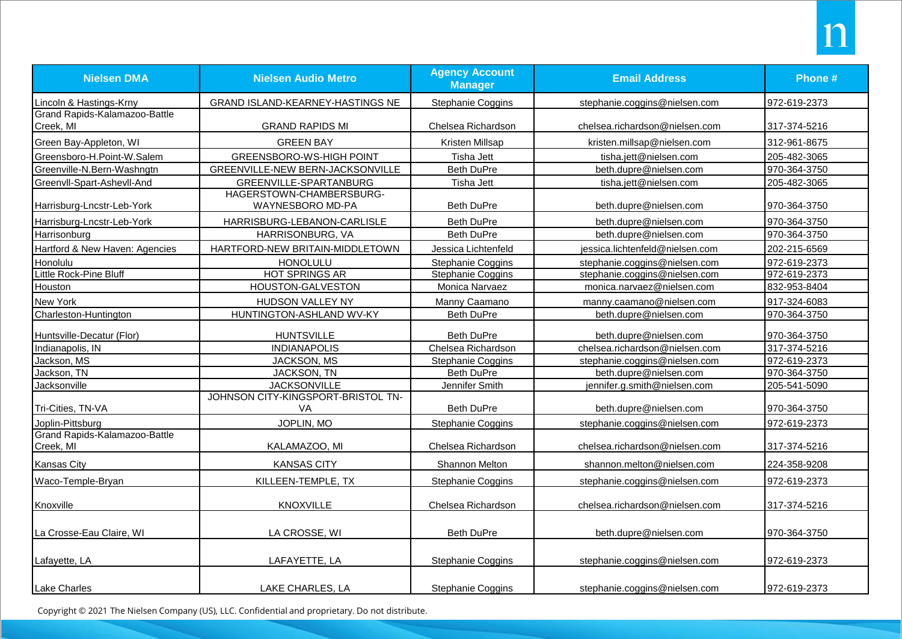| <b>Nielsen DMA</b>                         | <b>Nielsen Audio Metro</b>                   | <b>Agency Account</b><br><b>Manager</b> | <b>Email Address</b>            | Phone #      |
|--------------------------------------------|----------------------------------------------|-----------------------------------------|---------------------------------|--------------|
| Lincoln & Hastings-Krny                    | GRAND ISLAND-KEARNEY-HASTINGS NE             | Stephanie Coggins                       | stephanie.coggins@nielsen.com   | 972-619-2373 |
| Grand Rapids-Kalamazoo-Battle<br>Creek, MI | <b>GRAND RAPIDS MI</b>                       | Chelsea Richardson                      | chelsea.richardson@nielsen.com  | 317-374-5216 |
| Green Bay-Appleton, WI                     | <b>GREEN BAY</b>                             | Kristen Millsap                         | kristen.millsap@nielsen.com     | 312-961-8675 |
| Greensboro-H.Point-W.Salem                 | <b>GREENSBORO-WS-HIGH POINT</b>              | Tisha Jett                              | tisha.jett@nielsen.com          | 205-482-3065 |
| Greenville-N.Bern-Washngtn                 | GREENVILLE-NEW BERN-JACKSONVILLE             | <b>Beth DuPre</b>                       | beth.dupre@nielsen.com          | 970-364-3750 |
| Greenvll-Spart-Ashevll-And                 | GREENVILLE-SPARTANBURG                       | Tisha Jett                              | tisha.jett@nielsen.com          | 205-482-3065 |
| Harrisburg-Lncstr-Leb-York                 | HAGERSTOWN-CHAMBERSBURG-<br>WAYNESBORO MD-PA | Beth DuPre                              | beth.dupre@nielsen.com          | 970-364-3750 |
| Harrisburg-Lncstr-Leb-York                 | HARRISBURG-LEBANON-CARLISLE                  | <b>Beth DuPre</b>                       | beth.dupre@nielsen.com          | 970-364-3750 |
| Harrisonburg                               | HARRISONBURG, VA                             | <b>Beth DuPre</b>                       | beth.dupre@nielsen.com          | 970-364-3750 |
| Hartford & New Haven: Agencies             | HARTFORD-NEW BRITAIN-MIDDLETOWN              | Jessica Lichtenfeld                     | jessica.lichtenfeld@nielsen.com | 202-215-6569 |
| Honolulu                                   | <b>HONOLULU</b>                              | Stephanie Coggins                       | stephanie.coggins@nielsen.com   | 972-619-2373 |
| Little Rock-Pine Bluff                     | <b>HOT SPRINGS AR</b>                        | Stephanie Coggins                       | stephanie.coggins@nielsen.com   | 972-619-2373 |
| Houston                                    | HOUSTON-GALVESTON                            | Monica Narvaez                          | monica.narvaez@nielsen.com      | 832-953-8404 |
| New York                                   | HUDSON VALLEY NY                             | Manny Caamano                           | manny.caamano@nielsen.com       | 917-324-6083 |
| Charleston-Huntington                      | HUNTINGTON-ASHLAND WV-KY                     | <b>Beth DuPre</b>                       | beth.dupre@nielsen.com          | 970-364-3750 |
| Huntsville-Decatur (Flor)                  | <b>HUNTSVILLE</b>                            | <b>Beth DuPre</b>                       | beth.dupre@nielsen.com          | 970-364-3750 |
| Indianapolis, IN                           | <b>INDIANAPOLIS</b>                          | Chelsea Richardson                      | chelsea.richardson@nielsen.com  | 317-374-5216 |
| Jackson, MS                                | JACKSON, MS                                  | Stephanie Coggins                       | stephanie.coggins@nielsen.com   | 972-619-2373 |
| Jackson, TN                                | JACKSON, TN                                  | Beth DuPre                              | beth.dupre@nielsen.com          | 970-364-3750 |
| Jacksonville                               | <b>JACKSONVILLE</b>                          | Jennifer Smith                          | jennifer.g.smith@nielsen.com    | 205-541-5090 |
| Tri-Cities, TN-VA                          | JOHNSON CITY-KINGSPORT-BRISTOL TN-<br>VA     | <b>Beth DuPre</b>                       | beth.dupre@nielsen.com          | 970-364-3750 |
| Joplin-Pittsburg                           | JOPLIN, MO                                   | Stephanie Coggins                       | stephanie.coggins@nielsen.com   | 972-619-2373 |
| Grand Rapids-Kalamazoo-Battle<br>Creek, MI | KALAMAZOO, MI                                | Chelsea Richardson                      | chelsea.richardson@nielsen.com  | 317-374-5216 |
| Kansas City                                | <b>KANSAS CITY</b>                           | Shannon Melton                          | shannon.melton@nielsen.com      | 224-358-9208 |
| Waco-Temple-Bryan                          | KILLEEN-TEMPLE, TX                           | Stephanie Coggins                       | stephanie.coggins@nielsen.com   | 972-619-2373 |
| Knoxville                                  | <b>KNOXVILLE</b>                             | Chelsea Richardson                      | chelsea.richardson@nielsen.com  | 317-374-5216 |
| La Crosse-Eau Claire, WI                   | LA CROSSE, WI                                | Beth DuPre                              | beth.dupre@nielsen.com          | 970-364-3750 |
| Lafayette, LA                              | LAFAYETTE, LA                                | Stephanie Coggins                       | stephanie.coggins@nielsen.com   | 972-619-2373 |
| Lake Charles                               | LAKE CHARLES, LA                             | Stephanie Coggins                       | stephanie.coggins@nielsen.com   | 972-619-2373 |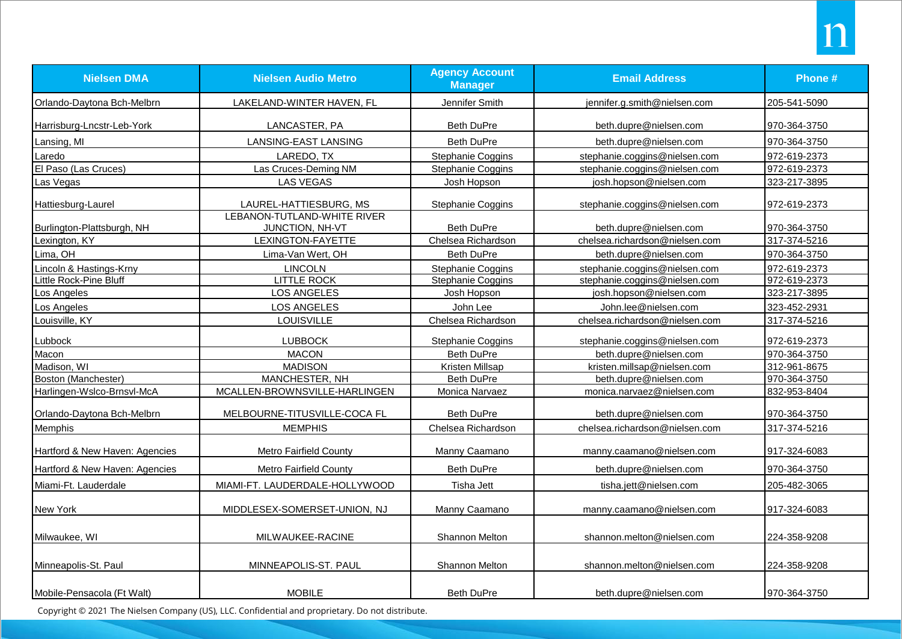| <b>Nielsen DMA</b>             | <b>Nielsen Audio Metro</b>                     | <b>Agency Account</b><br><b>Manager</b> | <b>Email Address</b>           | Phone #      |
|--------------------------------|------------------------------------------------|-----------------------------------------|--------------------------------|--------------|
| Orlando-Daytona Bch-Melbrn     | LAKELAND-WINTER HAVEN, FL                      | Jennifer Smith                          | jennifer.g.smith@nielsen.com   | 205-541-5090 |
| Harrisburg-Lncstr-Leb-York     | LANCASTER, PA                                  | Beth DuPre                              | beth.dupre@nielsen.com         | 970-364-3750 |
| Lansing, MI                    | LANSING-EAST LANSING                           | <b>Beth DuPre</b>                       | beth.dupre@nielsen.com         | 970-364-3750 |
| Laredo                         | LAREDO, TX                                     | Stephanie Coggins                       | stephanie.coggins@nielsen.com  | 972-619-2373 |
| El Paso (Las Cruces)           | Las Cruces-Deming NM                           | Stephanie Coggins                       | stephanie.coggins@nielsen.com  | 972-619-2373 |
| Las Vegas                      | <b>LAS VEGAS</b>                               | Josh Hopson                             | josh.hopson@nielsen.com        | 323-217-3895 |
| Hattiesburg-Laurel             | LAUREL-HATTIESBURG, MS                         | Stephanie Coggins                       | stephanie.coggins@nielsen.com  | 972-619-2373 |
| Burlington-Plattsburgh, NH     | LEBANON-TUTLAND-WHITE RIVER<br>JUNCTION, NH-VT | Beth DuPre                              | beth.dupre@nielsen.com         | 970-364-3750 |
| Lexington, KY                  | LEXINGTON-FAYETTE                              | Chelsea Richardson                      | chelsea.richardson@nielsen.com | 317-374-5216 |
| Lima, OH                       | Lima-Van Wert, OH                              | <b>Beth DuPre</b>                       | beth.dupre@nielsen.com         | 970-364-3750 |
| Lincoln & Hastings-Krny        | <b>LINCOLN</b>                                 | Stephanie Coggins                       | stephanie.coggins@nielsen.com  | 972-619-2373 |
| Little Rock-Pine Bluff         | <b>LITTLE ROCK</b>                             | Stephanie Coggins                       | stephanie.coggins@nielsen.com  | 972-619-2373 |
| Los Angeles                    | <b>LOS ANGELES</b>                             | Josh Hopson                             | josh.hopson@nielsen.com        | 323-217-3895 |
| Los Angeles                    | LOS ANGELES                                    | John Lee                                | John.lee@nielsen.com           | 323-452-2931 |
| Louisville, KY                 | LOUISVILLE                                     | Chelsea Richardson                      | chelsea.richardson@nielsen.com | 317-374-5216 |
| Lubbock                        | <b>LUBBOCK</b>                                 | Stephanie Coggins                       | stephanie.coggins@nielsen.com  | 972-619-2373 |
| Macon                          | <b>MACON</b>                                   | <b>Beth DuPre</b>                       | beth.dupre@nielsen.com         | 970-364-3750 |
| Madison, WI                    | <b>MADISON</b>                                 | Kristen Millsap                         | kristen.millsap@nielsen.com    | 312-961-8675 |
| Boston (Manchester)            | MANCHESTER, NH                                 | Beth DuPre                              | beth.dupre@nielsen.com         | 970-364-3750 |
| Harlingen-Wslco-Brnsvl-McA     | MCALLEN-BROWNSVILLE-HARLINGEN                  | Monica Narvaez                          | monica.narvaez@nielsen.com     | 832-953-8404 |
| Orlando-Daytona Bch-Melbrn     | MELBOURNE-TITUSVILLE-COCA FL                   | <b>Beth DuPre</b>                       | beth.dupre@nielsen.com         | 970-364-3750 |
| Memphis                        | <b>MEMPHIS</b>                                 | Chelsea Richardson                      | chelsea.richardson@nielsen.com | 317-374-5216 |
| Hartford & New Haven: Agencies | <b>Metro Fairfield County</b>                  | Manny Caamano                           | manny.caamano@nielsen.com      | 917-324-6083 |
| Hartford & New Haven: Agencies | <b>Metro Fairfield County</b>                  | <b>Beth DuPre</b>                       | beth.dupre@nielsen.com         | 970-364-3750 |
| Miami-Ft. Lauderdale           | MIAMI-FT. LAUDERDALE-HOLLYWOOD                 | Tisha Jett                              | tisha.jett@nielsen.com         | 205-482-3065 |
| New York                       | MIDDLESEX-SOMERSET-UNION, NJ                   | Manny Caamano                           | manny.caamano@nielsen.com      | 917-324-6083 |
| Milwaukee, WI                  | MILWAUKEE-RACINE                               | Shannon Melton                          | shannon.melton@nielsen.com     | 224-358-9208 |
| Minneapolis-St. Paul           | MINNEAPOLIS-ST. PAUL                           | Shannon Melton                          | shannon.melton@nielsen.com     | 224-358-9208 |
| Mobile-Pensacola (Ft Walt)     | <b>MOBILE</b>                                  | <b>Beth DuPre</b>                       | beth.dupre@nielsen.com         | 970-364-3750 |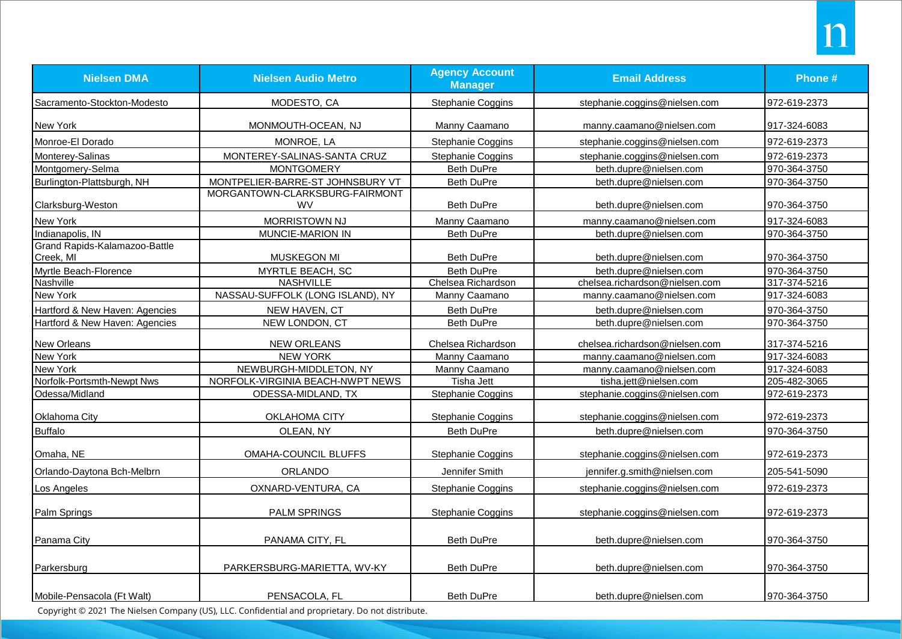| <b>Nielsen DMA</b>                         | <b>Nielsen Audio Metro</b>                  | <b>Agency Account</b><br><b>Manager</b> | <b>Email Address</b>           | Phone #      |
|--------------------------------------------|---------------------------------------------|-----------------------------------------|--------------------------------|--------------|
| Sacramento-Stockton-Modesto                | MODESTO, CA                                 | Stephanie Coggins                       | stephanie.coggins@nielsen.com  | 972-619-2373 |
| New York                                   | MONMOUTH-OCEAN, NJ                          | Manny Caamano                           | manny.caamano@nielsen.com      | 917-324-6083 |
| Monroe-El Dorado                           | MONROE, LA                                  | Stephanie Coggins                       | stephanie.coggins@nielsen.com  | 972-619-2373 |
| Monterey-Salinas                           | MONTEREY-SALINAS-SANTA CRUZ                 | Stephanie Coggins                       | stephanie.coggins@nielsen.com  | 972-619-2373 |
| Montgomery-Selma                           | <b>MONTGOMERY</b>                           | <b>Beth DuPre</b>                       | beth.dupre@nielsen.com         | 970-364-3750 |
| Burlington-Plattsburgh, NH                 | MONTPELIER-BARRE-ST JOHNSBURY VT            | <b>Beth DuPre</b>                       | beth.dupre@nielsen.com         | 970-364-3750 |
| Clarksburg-Weston                          | MORGANTOWN-CLARKSBURG-FAIRMONT<br><b>WV</b> | <b>Beth DuPre</b>                       | beth.dupre@nielsen.com         | 970-364-3750 |
| New York                                   | <b>MORRISTOWN NJ</b>                        | Manny Caamano                           | manny.caamano@nielsen.com      | 917-324-6083 |
| Indianapolis, IN                           | MUNCIE-MARION IN                            | Beth DuPre                              | beth.dupre@nielsen.com         | 970-364-3750 |
| Grand Rapids-Kalamazoo-Battle<br>Creek, MI | MUSKEGON MI                                 | <b>Beth DuPre</b>                       | beth.dupre@nielsen.com         | 970-364-3750 |
| Myrtle Beach-Florence                      | MYRTLE BEACH, SC                            | <b>Beth DuPre</b>                       | beth.dupre@nielsen.com         | 970-364-3750 |
| Nashville                                  | <b>NASHVILLE</b>                            | Chelsea Richardson                      | chelsea.richardson@nielsen.com | 317-374-5216 |
| New York                                   | NASSAU-SUFFOLK (LONG ISLAND), NY            | Manny Caamano                           | manny.caamano@nielsen.com      | 917-324-6083 |
| Hartford & New Haven: Agencies             | NEW HAVEN, CT                               | <b>Beth DuPre</b>                       | beth.dupre@nielsen.com         | 970-364-3750 |
| Hartford & New Haven: Agencies             | NEW LONDON, CT                              | <b>Beth DuPre</b>                       | beth.dupre@nielsen.com         | 970-364-3750 |
| <b>New Orleans</b>                         | <b>NEW ORLEANS</b>                          | Chelsea Richardson                      | chelsea.richardson@nielsen.com | 317-374-5216 |
| New York                                   | <b>NEW YORK</b>                             | Manny Caamano                           | manny.caamano@nielsen.com      | 917-324-6083 |
| New York                                   | NEWBURGH-MIDDLETON, NY                      | Manny Caamano                           | manny.caamano@nielsen.com      | 917-324-6083 |
| Norfolk-Portsmth-Newpt Nws                 | NORFOLK-VIRGINIA BEACH-NWPT NEWS            | <b>Tisha Jett</b>                       | tisha.jett@nielsen.com         | 205-482-3065 |
| Odessa/Midland                             | ODESSA-MIDLAND, TX                          | Stephanie Coggins                       | stephanie.coggins@nielsen.com  | 972-619-2373 |
| Oklahoma City                              | OKLAHOMA CITY                               | Stephanie Coggins                       | stephanie.coggins@nielsen.com  | 972-619-2373 |
| <b>Buffalo</b>                             | OLEAN, NY                                   | <b>Beth DuPre</b>                       | beth.dupre@nielsen.com         | 970-364-3750 |
| Omaha, NE                                  | OMAHA-COUNCIL BLUFFS                        | Stephanie Coggins                       | stephanie.coggins@nielsen.com  | 972-619-2373 |
| Orlando-Daytona Bch-Melbrn                 | ORLANDO                                     | Jennifer Smith                          | jennifer.g.smith@nielsen.com   | 205-541-5090 |
| Los Angeles                                | OXNARD-VENTURA, CA                          | Stephanie Coggins                       | stephanie.coggins@nielsen.com  | 972-619-2373 |
| Palm Springs                               | <b>PALM SPRINGS</b>                         | <b>Stephanie Coggins</b>                | stephanie.coggins@nielsen.com  | 972-619-2373 |
| Panama City                                | PANAMA CITY, FL                             | Beth DuPre                              | beth.dupre@nielsen.com         | 970-364-3750 |
| Parkersburg                                | PARKERSBURG-MARIETTA, WV-KY                 | Beth DuPre                              | beth.dupre@nielsen.com         | 970-364-3750 |
| Mobile-Pensacola (Ft Walt)                 | PENSACOLA, FL                               | <b>Beth DuPre</b>                       | beth.dupre@nielsen.com         | 970-364-3750 |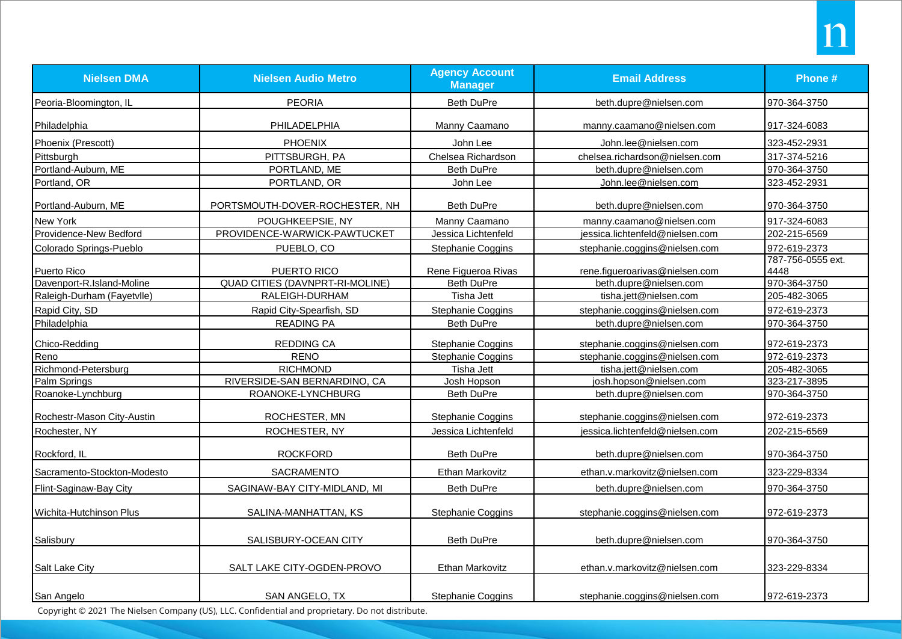| <b>Nielsen DMA</b>          | <b>Nielsen Audio Metro</b>             | <b>Agency Account</b><br><b>Manager</b> | <b>Email Address</b>            | Phone #           |
|-----------------------------|----------------------------------------|-----------------------------------------|---------------------------------|-------------------|
| Peoria-Bloomington, IL      | <b>PEORIA</b>                          | Beth DuPre                              | beth.dupre@nielsen.com          | 970-364-3750      |
| Philadelphia                | PHILADELPHIA                           | Manny Caamano                           | manny.caamano@nielsen.com       | 917-324-6083      |
| Phoenix (Prescott)          | <b>PHOENIX</b>                         | John Lee                                | John.lee@nielsen.com            | 323-452-2931      |
| Pittsburgh                  | PITTSBURGH, PA                         | Chelsea Richardson                      | chelsea.richardson@nielsen.com  | 317-374-5216      |
| Portland-Auburn, ME         | PORTLAND, ME                           | Beth DuPre                              | beth.dupre@nielsen.com          | 970-364-3750      |
| Portland, OR                | PORTLAND, OR                           | John Lee                                | John.lee@nielsen.com            | 323-452-2931      |
| Portland-Auburn, ME         | PORTSMOUTH-DOVER-ROCHESTER, NH         | <b>Beth DuPre</b>                       | beth.dupre@nielsen.com          | 970-364-3750      |
| New York                    | POUGHKEEPSIE, NY                       | Manny Caamano                           | manny.caamano@nielsen.com       | 917-324-6083      |
| Providence-New Bedford      | PROVIDENCE-WARWICK-PAWTUCKET           | Jessica Lichtenfeld                     | jessica.lichtenfeld@nielsen.com | 202-215-6569      |
| Colorado Springs-Pueblo     | PUEBLO, CO                             | Stephanie Coggins                       | stephanie.coggins@nielsen.com   | 972-619-2373      |
|                             |                                        |                                         |                                 | 787-756-0555 ext. |
| Puerto Rico                 | PUERTO RICO                            | Rene Figueroa Rivas                     | rene.figueroarivas@nielsen.com  | 4448              |
| Davenport-R.Island-Moline   | <b>QUAD CITIES (DAVNPRT-RI-MOLINE)</b> | <b>Beth DuPre</b>                       | beth.dupre@nielsen.com          | 970-364-3750      |
| Raleigh-Durham (Fayetvlle)  | RALEIGH-DURHAM                         | Tisha Jett                              | tisha.jett@nielsen.com          | 205-482-3065      |
| Rapid City, SD              | Rapid City-Spearfish, SD               | Stephanie Coggins                       | stephanie.coggins@nielsen.com   | 972-619-2373      |
| Philadelphia                | <b>READING PA</b>                      | <b>Beth DuPre</b>                       | beth.dupre@nielsen.com          | 970-364-3750      |
| Chico-Redding               | <b>REDDING CA</b>                      | Stephanie Coggins                       | stephanie.coggins@nielsen.com   | 972-619-2373      |
| Reno                        | <b>RENO</b>                            | Stephanie Coggins                       | stephanie.coggins@nielsen.com   | 972-619-2373      |
| Richmond-Petersburg         | <b>RICHMOND</b>                        | Tisha Jett                              | tisha.jett@nielsen.com          | 205-482-3065      |
| Palm Springs                | RIVERSIDE-SAN BERNARDINO, CA           | Josh Hopson                             | josh.hopson@nielsen.com         | 323-217-3895      |
| Roanoke-Lynchburg           | ROANOKE-LYNCHBURG                      | <b>Beth DuPre</b>                       | beth.dupre@nielsen.com          | 970-364-3750      |
| Rochestr-Mason City-Austin  | ROCHESTER, MN                          | <b>Stephanie Coggins</b>                | stephanie.coggins@nielsen.com   | 972-619-2373      |
| Rochester, NY               | ROCHESTER, NY                          | Jessica Lichtenfeld                     | jessica.lichtenfeld@nielsen.com | 202-215-6569      |
| Rockford, IL                | <b>ROCKFORD</b>                        | <b>Beth DuPre</b>                       | beth.dupre@nielsen.com          | 970-364-3750      |
| Sacramento-Stockton-Modesto | <b>SACRAMENTO</b>                      | <b>Ethan Markovitz</b>                  | ethan.v.markovitz@nielsen.com   | 323-229-8334      |
| Flint-Saginaw-Bay City      | SAGINAW-BAY CITY-MIDLAND, MI           | <b>Beth DuPre</b>                       | beth.dupre@nielsen.com          | 970-364-3750      |
| Wichita-Hutchinson Plus     | SALINA-MANHATTAN, KS                   | Stephanie Coggins                       | stephanie.coggins@nielsen.com   | 972-619-2373      |
| Salisbury                   | SALISBURY-OCEAN CITY                   | <b>Beth DuPre</b>                       | beth.dupre@nielsen.com          | 970-364-3750      |
| Salt Lake City              | SALT LAKE CITY-OGDEN-PROVO             | Ethan Markovitz                         | ethan.v.markovitz@nielsen.com   | 323-229-8334      |
| San Angelo                  | SAN ANGELO, TX                         | Stephanie Coggins                       | stephanie.coggins@nielsen.com   | 972-619-2373      |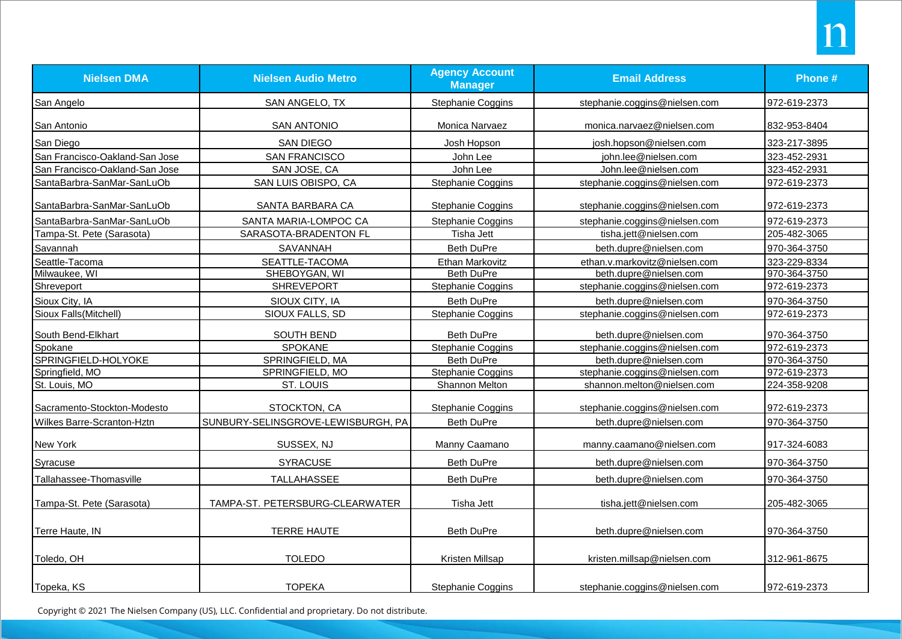| <b>Nielsen DMA</b>             | <b>Nielsen Audio Metro</b>         | <b>Agency Account</b><br><b>Manager</b> | <b>Email Address</b>          | Phone #      |
|--------------------------------|------------------------------------|-----------------------------------------|-------------------------------|--------------|
| San Angelo                     | SAN ANGELO, TX                     | Stephanie Coggins                       | stephanie.coggins@nielsen.com | 972-619-2373 |
| San Antonio                    | <b>SAN ANTONIO</b>                 | Monica Narvaez                          | monica.narvaez@nielsen.com    | 832-953-8404 |
| San Diego                      | <b>SAN DIEGO</b>                   | Josh Hopson                             | josh.hopson@nielsen.com       | 323-217-3895 |
| San Francisco-Oakland-San Jose | <b>SAN FRANCISCO</b>               | John Lee                                | john.lee@nielsen.com          | 323-452-2931 |
| San Francisco-Oakland-San Jose | SAN JOSE, CA                       | John Lee                                | John.lee@nielsen.com          | 323-452-2931 |
| SantaBarbra-SanMar-SanLuOb     | SAN LUIS OBISPO, CA                | Stephanie Coggins                       | stephanie.coggins@nielsen.com | 972-619-2373 |
| SantaBarbra-SanMar-SanLuOb     | SANTA BARBARA CA                   | Stephanie Coggins                       | stephanie.coggins@nielsen.com | 972-619-2373 |
| SantaBarbra-SanMar-SanLuOb     | SANTA MARIA-LOMPOC CA              | Stephanie Coggins                       | stephanie.coggins@nielsen.com | 972-619-2373 |
| Tampa-St. Pete (Sarasota)      | SARASOTA-BRADENTON FL              | Tisha Jett                              | tisha.jett@nielsen.com        | 205-482-3065 |
| Savannah                       | SAVANNAH                           | <b>Beth DuPre</b>                       | beth.dupre@nielsen.com        | 970-364-3750 |
| Seattle-Tacoma                 | SEATTLE-TACOMA                     | Ethan Markovitz                         | ethan.v.markovitz@nielsen.com | 323-229-8334 |
| Milwaukee, WI                  | SHEBOYGAN, WI                      | <b>Beth DuPre</b>                       | beth.dupre@nielsen.com        | 970-364-3750 |
| Shreveport                     | <b>SHREVEPORT</b>                  | Stephanie Coggins                       | stephanie.coggins@nielsen.com | 972-619-2373 |
| Sioux City, IA                 | SIOUX CITY, IA                     | <b>Beth DuPre</b>                       | beth.dupre@nielsen.com        | 970-364-3750 |
| Sioux Falls(Mitchell)          | SIOUX FALLS, SD                    | Stephanie Coggins                       | stephanie.coggins@nielsen.com | 972-619-2373 |
| South Bend-Elkhart             | SOUTH BEND                         | <b>Beth DuPre</b>                       | beth.dupre@nielsen.com        | 970-364-3750 |
| Spokane                        | <b>SPOKANE</b>                     | Stephanie Coggins                       | stephanie.coggins@nielsen.com | 972-619-2373 |
| SPRINGFIELD-HOLYOKE            | SPRINGFIELD, MA                    | <b>Beth DuPre</b>                       | beth.dupre@nielsen.com        | 970-364-3750 |
| Springfield, MO                | SPRINGFIELD, MO                    | Stephanie Coggins                       | stephanie.coggins@nielsen.com | 972-619-2373 |
| St. Louis, MO                  | ST. LOUIS                          | <b>Shannon Melton</b>                   | shannon.melton@nielsen.com    | 224-358-9208 |
| Sacramento-Stockton-Modesto    | STOCKTON, CA                       | Stephanie Coggins                       | stephanie.coggins@nielsen.com | 972-619-2373 |
| Wilkes Barre-Scranton-Hztn     | SUNBURY-SELINSGROVE-LEWISBURGH, PA | <b>Beth DuPre</b>                       | beth.dupre@nielsen.com        | 970-364-3750 |
| New York                       | SUSSEX, NJ                         | Manny Caamano                           | manny.caamano@nielsen.com     | 917-324-6083 |
| Syracuse                       | <b>SYRACUSE</b>                    | <b>Beth DuPre</b>                       | beth.dupre@nielsen.com        | 970-364-3750 |
| Tallahassee-Thomasville        | TALLAHASSEE                        | <b>Beth DuPre</b>                       | beth.dupre@nielsen.com        | 970-364-3750 |
| Tampa-St. Pete (Sarasota)      | TAMPA-ST. PETERSBURG-CLEARWATER    | Tisha Jett                              | tisha.jett@nielsen.com        | 205-482-3065 |
| Terre Haute, IN                | <b>TERRE HAUTE</b>                 | <b>Beth DuPre</b>                       | beth.dupre@nielsen.com        | 970-364-3750 |
| Toledo, OH                     | <b>TOLEDO</b>                      | Kristen Millsap                         | kristen.millsap@nielsen.com   | 312-961-8675 |
| Topeka, KS                     | <b>TOPEKA</b>                      | <b>Stephanie Coggins</b>                | stephanie.coggins@nielsen.com | 972-619-2373 |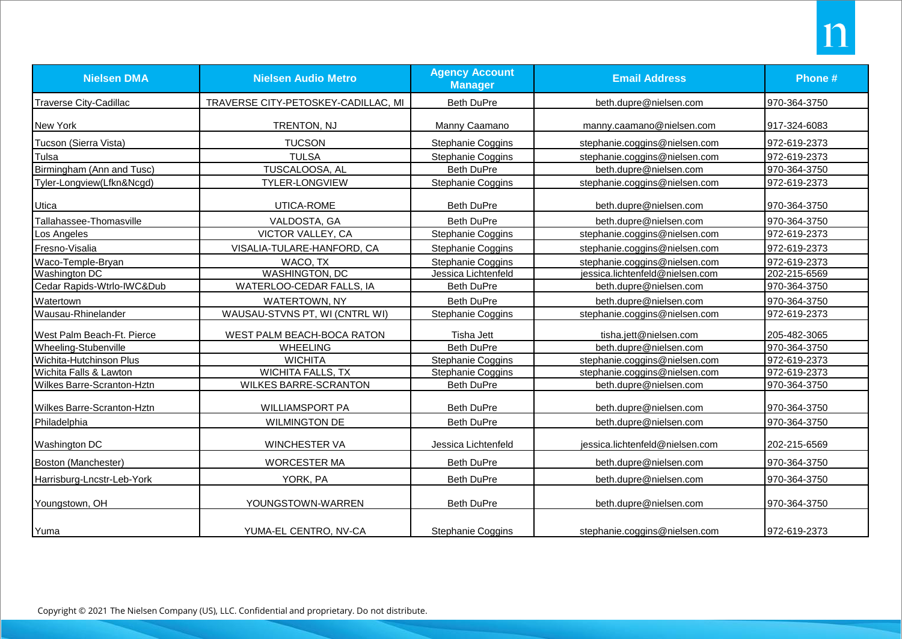| <b>Nielsen DMA</b>                | <b>Nielsen Audio Metro</b>          | <b>Agency Account</b><br><b>Manager</b> | <b>Email Address</b>            | Phone #      |
|-----------------------------------|-------------------------------------|-----------------------------------------|---------------------------------|--------------|
| Traverse City-Cadillac            | TRAVERSE CITY-PETOSKEY-CADILLAC, MI | <b>Beth DuPre</b>                       | beth.dupre@nielsen.com          | 970-364-3750 |
| New York                          | TRENTON, NJ                         | Manny Caamano                           | manny.caamano@nielsen.com       | 917-324-6083 |
| Tucson (Sierra Vista)             | <b>TUCSON</b>                       | Stephanie Coggins                       | stephanie.coggins@nielsen.com   | 972-619-2373 |
| Tulsa                             | <b>TULSA</b>                        | Stephanie Coggins                       | stephanie.coggins@nielsen.com   | 972-619-2373 |
| Birmingham (Ann and Tusc)         | TUSCALOOSA, AL                      | <b>Beth DuPre</b>                       | beth.dupre@nielsen.com          | 970-364-3750 |
| Tyler-Longview(Lfkn&Ncgd)         | TYLER-LONGVIEW                      | Stephanie Coggins                       | stephanie.coggins@nielsen.com   | 972-619-2373 |
| Utica                             | UTICA-ROME                          | <b>Beth DuPre</b>                       | beth.dupre@nielsen.com          | 970-364-3750 |
| Tallahassee-Thomasville           | VALDOSTA, GA                        | <b>Beth DuPre</b>                       | beth.dupre@nielsen.com          | 970-364-3750 |
| _os Angeles                       | VICTOR VALLEY, CA                   | Stephanie Coggins                       | stephanie.coggins@nielsen.com   | 972-619-2373 |
| Fresno-Visalia                    | VISALIA-TULARE-HANFORD, CA          | <b>Stephanie Coggins</b>                | stephanie.coggins@nielsen.com   | 972-619-2373 |
| Waco-Temple-Bryan                 | WACO, TX                            | Stephanie Coggins                       | stephanie.coggins@nielsen.com   | 972-619-2373 |
| Washington DC                     | <b>WASHINGTON, DC</b>               | Jessica Lichtenfeld                     | jessica.lichtenfeld@nielsen.com | 202-215-6569 |
| Cedar Rapids-Wtrlo-IWC&Dub        | WATERLOO-CEDAR FALLS, IA            | <b>Beth DuPre</b>                       | beth.dupre@nielsen.com          | 970-364-3750 |
| Watertown                         | WATERTOWN, NY                       | <b>Beth DuPre</b>                       | beth.dupre@nielsen.com          | 970-364-3750 |
| Wausau-Rhinelander                | WAUSAU-STVNS PT, WI (CNTRL WI)      | Stephanie Coggins                       | stephanie.coggins@nielsen.com   | 972-619-2373 |
| West Palm Beach-Ft. Pierce        | WEST PALM BEACH-BOCA RATON          | <b>Tisha Jett</b>                       | tisha.jett@nielsen.com          | 205-482-3065 |
| Wheeling-Stubenville              | <b>WHEELING</b>                     | <b>Beth DuPre</b>                       | beth.dupre@nielsen.com          | 970-364-3750 |
| Wichita-Hutchinson Plus           | <b>WICHITA</b>                      | Stephanie Coggins                       | stephanie.coggins@nielsen.com   | 972-619-2373 |
| Wichita Falls & Lawton            | WICHITA FALLS, TX                   | Stephanie Coggins                       | stephanie.coggins@nielsen.com   | 972-619-2373 |
| <b>Wilkes Barre-Scranton-Hztn</b> | <b>WILKES BARRE-SCRANTON</b>        | <b>Beth DuPre</b>                       | beth.dupre@nielsen.com          | 970-364-3750 |
| <b>Wilkes Barre-Scranton-Hztn</b> | <b>WILLIAMSPORT PA</b>              | <b>Beth DuPre</b>                       | beth.dupre@nielsen.com          | 970-364-3750 |
| Philadelphia                      | <b>WILMINGTON DE</b>                | <b>Beth DuPre</b>                       | beth.dupre@nielsen.com          | 970-364-3750 |
| <b>Washington DC</b>              | <b>WINCHESTER VA</b>                | Jessica Lichtenfeld                     | jessica.lichtenfeld@nielsen.com | 202-215-6569 |
| Boston (Manchester)               | <b>WORCESTER MA</b>                 | <b>Beth DuPre</b>                       | beth.dupre@nielsen.com          | 970-364-3750 |
| Harrisburg-Lncstr-Leb-York        | YORK, PA                            | <b>Beth DuPre</b>                       | beth.dupre@nielsen.com          | 970-364-3750 |
| Youngstown, OH                    | YOUNGSTOWN-WARREN                   | <b>Beth DuPre</b>                       | beth.dupre@nielsen.com          | 970-364-3750 |
| Yuma                              | YUMA-EL CENTRO, NV-CA               | Stephanie Coggins                       | stephanie.coggins@nielsen.com   | 972-619-2373 |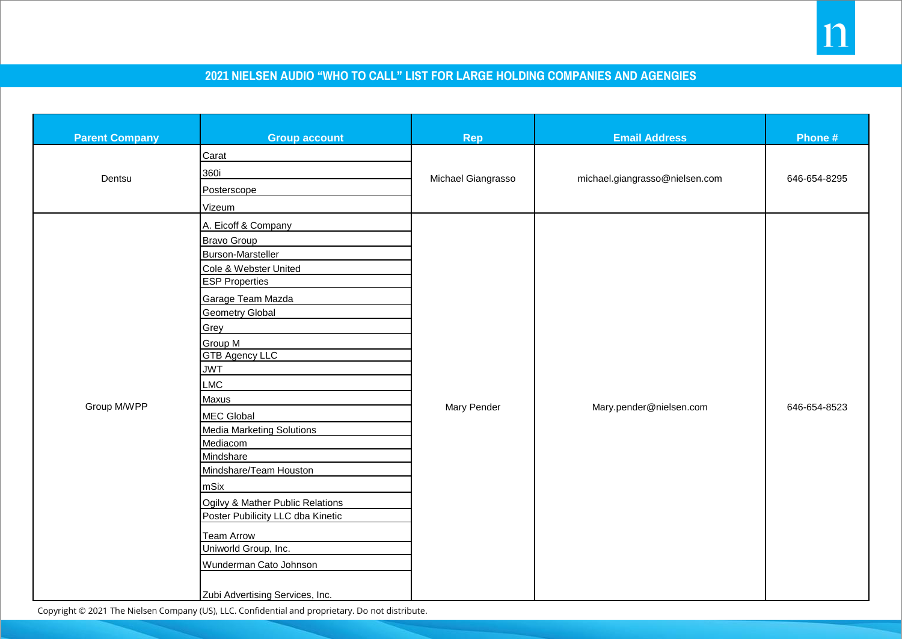## **2021 NIELSEN AUDIO "WHO TO CALL" LIST FOR LARGE HOLDING COMPANIES AND AGENGIES**

| <b>Parent Company</b> | <b>Group account</b>                                                                                                                                                                                                                                                                                                                                                                                                                                                                                                               | Rep                | <b>Email Address</b>           | Phone #      |
|-----------------------|------------------------------------------------------------------------------------------------------------------------------------------------------------------------------------------------------------------------------------------------------------------------------------------------------------------------------------------------------------------------------------------------------------------------------------------------------------------------------------------------------------------------------------|--------------------|--------------------------------|--------------|
| Dentsu                | Carat<br>360i<br>Posterscope<br>Vizeum                                                                                                                                                                                                                                                                                                                                                                                                                                                                                             | Michael Giangrasso | michael.giangrasso@nielsen.com | 646-654-8295 |
| Group M/WPP           | A. Eicoff & Company<br><b>Bravo Group</b><br>Burson-Marsteller<br>Cole & Webster United<br><b>ESP Properties</b><br>Garage Team Mazda<br><b>Geometry Global</b><br>Grey<br>Group M<br><b>GTB Agency LLC</b><br><b>JWT</b><br>LMC<br>Maxus<br>MEC Global<br><b>Media Marketing Solutions</b><br>Mediacom<br>Mindshare<br>Mindshare/Team Houston<br>mSix<br>Ogilvy & Mather Public Relations<br>Poster Pubilicity LLC dba Kinetic<br>Team Arrow<br>Uniworld Group, Inc.<br>Wunderman Cato Johnson<br>Zubi Advertising Services, Inc. | Mary Pender        | Mary.pender@nielsen.com        | 646-654-8523 |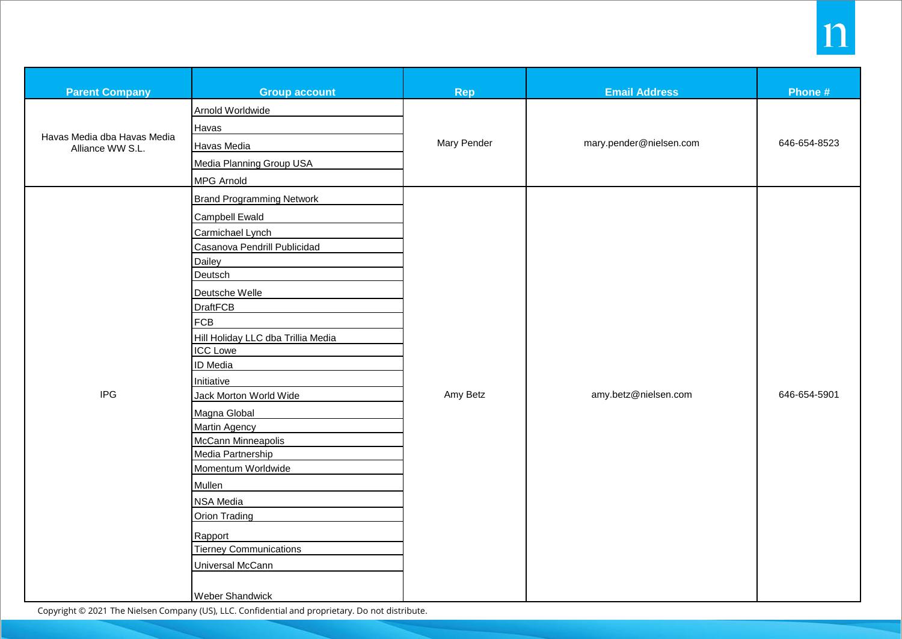| <b>Parent Company</b>                           | <b>Group account</b>                                                                                                                                                                                                                                                                                                                                                                                                                                                                                                                   | <b>Rep</b>  | <b>Email Address</b>    | Phone #      |
|-------------------------------------------------|----------------------------------------------------------------------------------------------------------------------------------------------------------------------------------------------------------------------------------------------------------------------------------------------------------------------------------------------------------------------------------------------------------------------------------------------------------------------------------------------------------------------------------------|-------------|-------------------------|--------------|
| Havas Media dba Havas Media<br>Alliance WW S.L. | Arnold Worldwide<br>Havas<br>Havas Media<br>Media Planning Group USA<br>MPG Arnold                                                                                                                                                                                                                                                                                                                                                                                                                                                     | Mary Pender | mary.pender@nielsen.com | 646-654-8523 |
| <b>IPG</b>                                      | <b>Brand Programming Network</b><br>Campbell Ewald<br>Carmichael Lynch<br>Casanova Pendrill Publicidad<br>Dailey<br>Deutsch<br>Deutsche Welle<br><b>DraftFCB</b><br><b>FCB</b><br>Hill Holiday LLC dba Trillia Media<br><b>ICC Lowe</b><br>ID Media<br>Initiative<br>Jack Morton World Wide<br>Magna Global<br><b>Martin Agency</b><br>McCann Minneapolis<br>Media Partnership<br>Momentum Worldwide<br>Mullen<br>NSA Media<br><b>Orion Trading</b><br>Rapport<br><b>Tierney Communications</b><br>Universal McCann<br>Weber Shandwick | Amy Betz    | amy.betz@nielsen.com    | 646-654-5901 |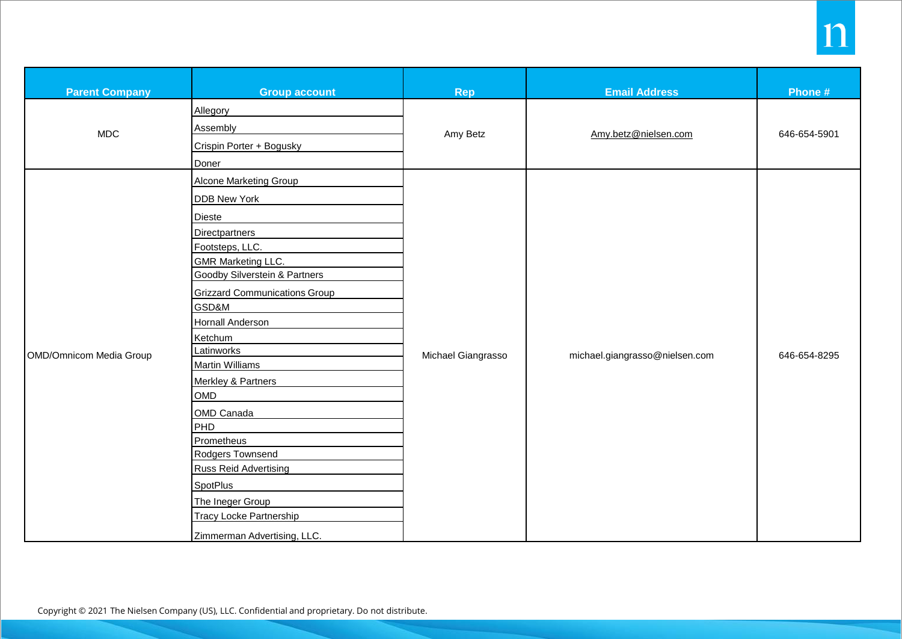| <b>Parent Company</b>   | <b>Group account</b>                     | Rep                | <b>Email Address</b>           | Phone #      |
|-------------------------|------------------------------------------|--------------------|--------------------------------|--------------|
|                         | Allegory                                 |                    |                                |              |
| <b>MDC</b>              | Assembly                                 |                    | Amy.betz@nielsen.com           |              |
|                         | Crispin Porter + Bogusky                 | Amy Betz           |                                | 646-654-5901 |
|                         | Doner                                    |                    |                                |              |
|                         | <b>Alcone Marketing Group</b>            |                    |                                |              |
|                         | <b>DDB New York</b>                      |                    |                                |              |
|                         | Dieste                                   |                    |                                |              |
|                         | <b>Directpartners</b>                    |                    |                                | 646-654-8295 |
|                         | Footsteps, LLC.                          |                    | michael.giangrasso@nielsen.com |              |
|                         | <b>GMR Marketing LLC.</b>                |                    |                                |              |
|                         | <b>Goodby Silverstein &amp; Partners</b> |                    |                                |              |
|                         | <b>Grizzard Communications Group</b>     |                    |                                |              |
|                         | GSD&M                                    |                    |                                |              |
|                         | Hornall Anderson                         |                    |                                |              |
|                         | Ketchum                                  |                    |                                |              |
| OMD/Omnicom Media Group | Latinworks                               | Michael Giangrasso |                                |              |
|                         | Martin Williams                          |                    |                                |              |
|                         | Merkley & Partners                       |                    |                                |              |
|                         | OMD                                      |                    |                                |              |
|                         | OMD Canada                               |                    |                                |              |
|                         | PHD                                      |                    |                                |              |
|                         | Prometheus                               |                    |                                |              |
|                         | Rodgers Townsend                         |                    |                                |              |
|                         | <b>Russ Reid Advertising</b>             |                    |                                |              |
|                         | <b>SpotPlus</b>                          |                    |                                |              |
|                         | The Ineger Group                         |                    |                                |              |
|                         | <b>Tracy Locke Partnership</b>           |                    |                                |              |
|                         | Zimmerman Advertising, LLC.              |                    |                                |              |